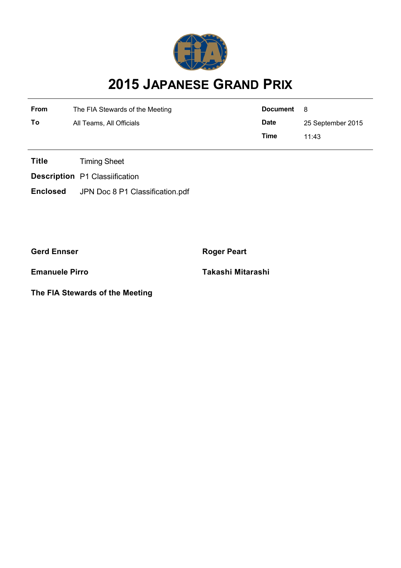

## **2015 JAPANESE GRAND PRIX**

| From | The FIA Stewards of the Meeting | Document    | - 8               |  |
|------|---------------------------------|-------------|-------------------|--|
| То   | All Teams, All Officials        | <b>Date</b> | 25 September 2015 |  |
|      |                                 | Time        | 11.43             |  |

**Title** Timing Sheet

**Description** P1 Classiification

**Enclosed** JPN Doc 8 P1 Classification.pdf

**Gerd Ennser Roger Peart** 

**The FIA Stewards of the Meeting**

**Emanuele Pirro Takashi Mitarashi**